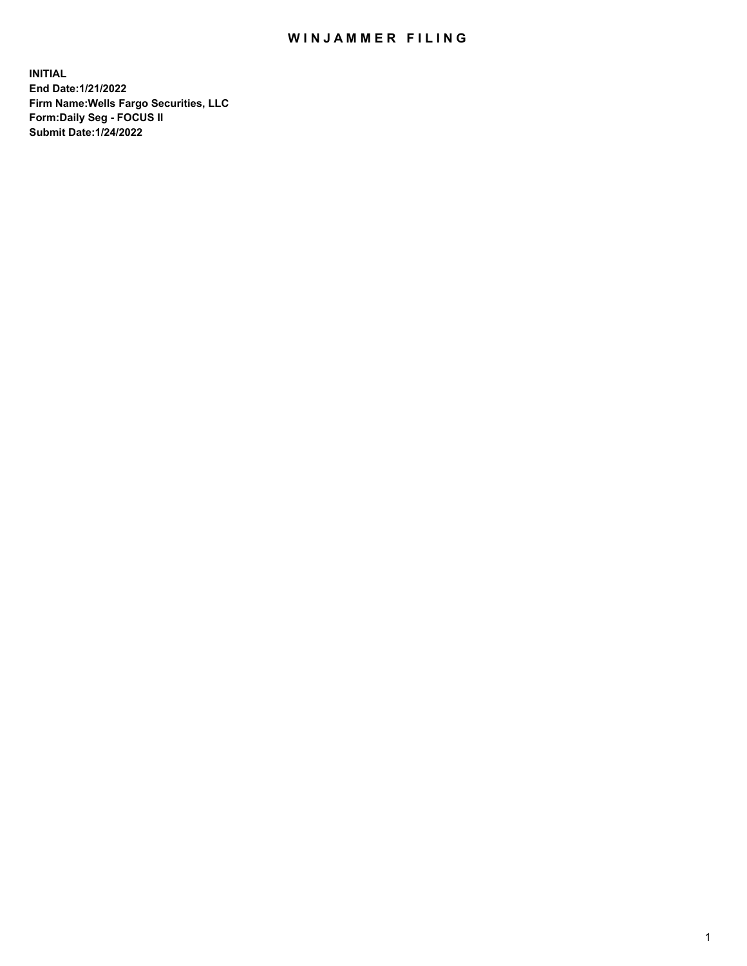## WIN JAMMER FILING

**INITIAL End Date:1/21/2022 Firm Name:Wells Fargo Securities, LLC Form:Daily Seg - FOCUS II Submit Date:1/24/2022**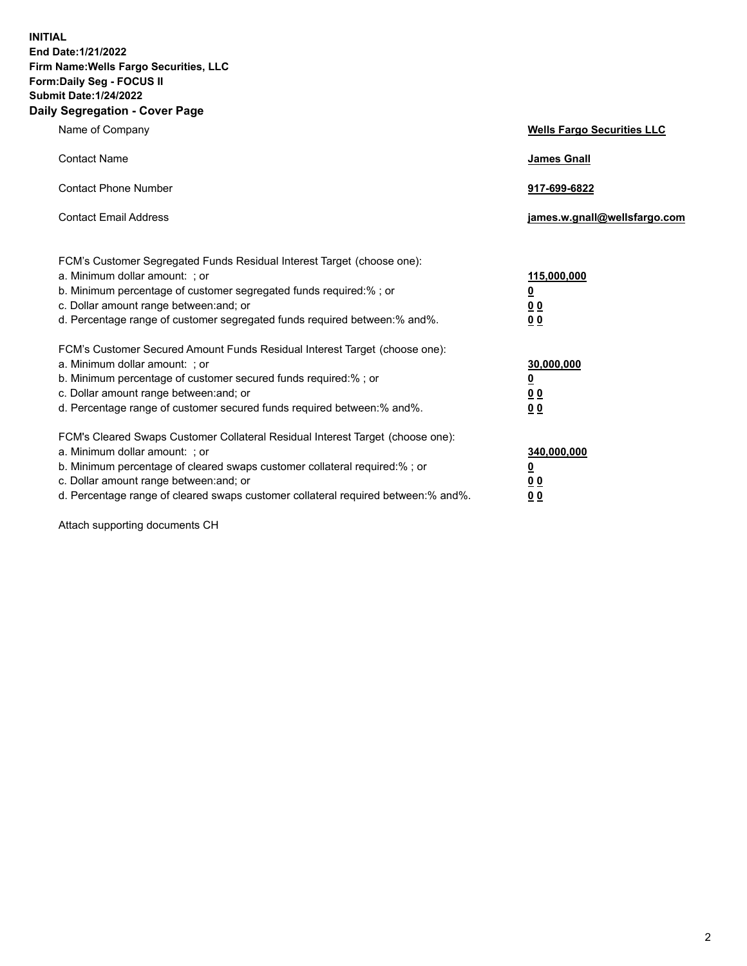**INITIAL End Date:1/21/2022 Firm Name:Wells Fargo Securities, LLC Form:Daily Seg - FOCUS II Submit Date:1/24/2022 Daily Segregation - Cover Page**

| Name of Company                                                                                                                                                                                                                                                                                                                | <b>Wells Fargo Securities LLC</b>                          |
|--------------------------------------------------------------------------------------------------------------------------------------------------------------------------------------------------------------------------------------------------------------------------------------------------------------------------------|------------------------------------------------------------|
| <b>Contact Name</b>                                                                                                                                                                                                                                                                                                            | <b>James Gnall</b>                                         |
| <b>Contact Phone Number</b>                                                                                                                                                                                                                                                                                                    | 917-699-6822                                               |
| <b>Contact Email Address</b>                                                                                                                                                                                                                                                                                                   | james.w.gnall@wellsfargo.com                               |
| FCM's Customer Segregated Funds Residual Interest Target (choose one):<br>a. Minimum dollar amount: ; or<br>b. Minimum percentage of customer segregated funds required:% ; or<br>c. Dollar amount range between: and; or<br>d. Percentage range of customer segregated funds required between:% and%.                         | 115,000,000<br><u>0</u><br>0 <sub>0</sub><br>00            |
| FCM's Customer Secured Amount Funds Residual Interest Target (choose one):<br>a. Minimum dollar amount: ; or<br>b. Minimum percentage of customer secured funds required:%; or<br>c. Dollar amount range between: and; or<br>d. Percentage range of customer secured funds required between:% and%.                            | 30,000,000<br><u>0</u><br>0 <sub>0</sub><br>0 <sub>0</sub> |
| FCM's Cleared Swaps Customer Collateral Residual Interest Target (choose one):<br>a. Minimum dollar amount: ; or<br>b. Minimum percentage of cleared swaps customer collateral required:% ; or<br>c. Dollar amount range between: and; or<br>d. Percentage range of cleared swaps customer collateral required between:% and%. | 340,000,000<br><u>0</u><br>00<br>00                        |

Attach supporting documents CH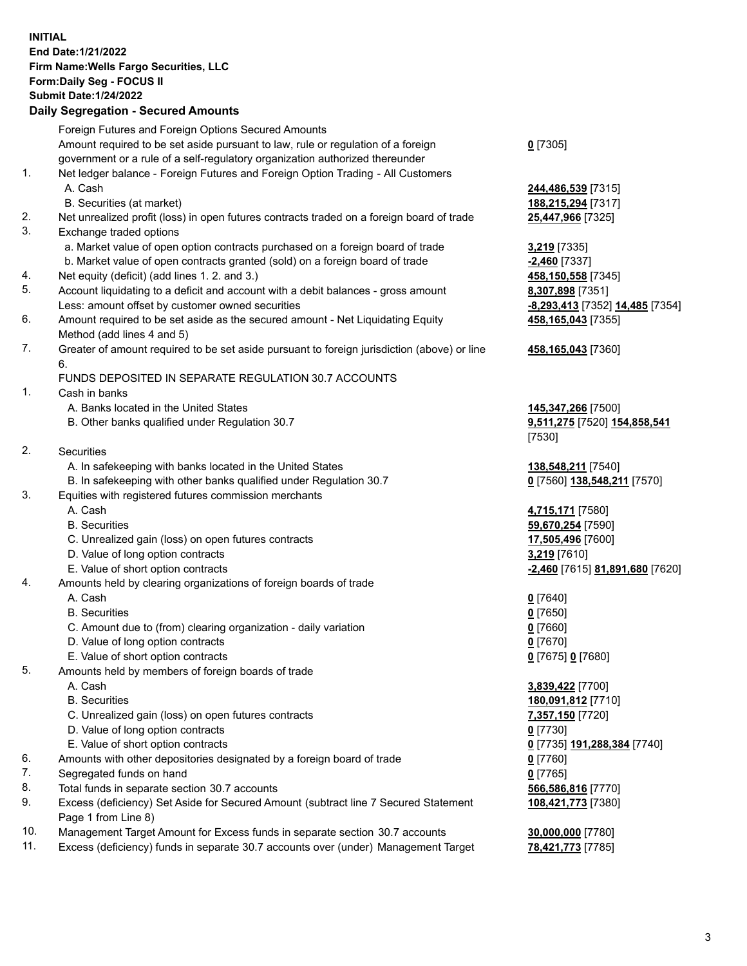**INITIAL End Date:1/21/2022 Firm Name:Wells Fargo Securities, LLC Form:Daily Seg - FOCUS II Submit Date:1/24/2022**

## **Daily Segregation - Secured Amounts**

|                | Foreign Futures and Foreign Options Secured Amounts                                         |                                                         |
|----------------|---------------------------------------------------------------------------------------------|---------------------------------------------------------|
|                | Amount required to be set aside pursuant to law, rule or regulation of a foreign            | $0$ [7305]                                              |
|                | government or a rule of a self-regulatory organization authorized thereunder                |                                                         |
| 1.             | Net ledger balance - Foreign Futures and Foreign Option Trading - All Customers             |                                                         |
|                | A. Cash                                                                                     | 244,486,539 [7315]                                      |
|                | B. Securities (at market)                                                                   | 188,215,294 [7317]                                      |
| 2.             | Net unrealized profit (loss) in open futures contracts traded on a foreign board of trade   | 25,447,966 [7325]                                       |
| 3.             | Exchange traded options                                                                     |                                                         |
|                | a. Market value of open option contracts purchased on a foreign board of trade              | 3,219 [7335]                                            |
|                | b. Market value of open contracts granted (sold) on a foreign board of trade                | $-2,460$ [7337]                                         |
| 4.             | Net equity (deficit) (add lines 1.2. and 3.)                                                | 458,150,558 [7345]                                      |
| 5.             | Account liquidating to a deficit and account with a debit balances - gross amount           | 8,307,898 [7351]                                        |
|                | Less: amount offset by customer owned securities                                            | -8,293,413 [7352] 14,485 [7354]                         |
| 6.             | Amount required to be set aside as the secured amount - Net Liquidating Equity              | 458,165,043 [7355]                                      |
|                | Method (add lines 4 and 5)                                                                  |                                                         |
| 7.             | Greater of amount required to be set aside pursuant to foreign jurisdiction (above) or line | 458,165,043 [7360]                                      |
|                | 6.                                                                                          |                                                         |
|                | FUNDS DEPOSITED IN SEPARATE REGULATION 30.7 ACCOUNTS                                        |                                                         |
| 1.             | Cash in banks                                                                               |                                                         |
|                | A. Banks located in the United States                                                       | 145, 347, 266 [7500]                                    |
|                | B. Other banks qualified under Regulation 30.7                                              | 9,511,275 [7520] 154,858,541                            |
|                |                                                                                             | [7530]                                                  |
| 2.             | <b>Securities</b>                                                                           |                                                         |
|                | A. In safekeeping with banks located in the United States                                   | 138,548,211 [7540]                                      |
|                | B. In safekeeping with other banks qualified under Regulation 30.7                          | 0 [7560] 138,548,211 [7570]                             |
| 3.             | Equities with registered futures commission merchants                                       |                                                         |
|                | A. Cash                                                                                     | 4,715,171 [7580]                                        |
|                | <b>B.</b> Securities                                                                        | 59,670,254 [7590]                                       |
|                | C. Unrealized gain (loss) on open futures contracts                                         | 17,505,496 [7600]                                       |
|                | D. Value of long option contracts                                                           | 3,219 [7610]                                            |
|                | E. Value of short option contracts                                                          | -2,460 [7615] 81,891,680 [7620]                         |
| 4.             | Amounts held by clearing organizations of foreign boards of trade                           |                                                         |
|                | A. Cash                                                                                     | $0$ [7640]                                              |
|                | <b>B.</b> Securities                                                                        | $0$ [7650]                                              |
|                | C. Amount due to (from) clearing organization - daily variation                             | $0$ [7660]                                              |
|                | D. Value of long option contracts                                                           | $0$ [7670]                                              |
|                | E. Value of short option contracts                                                          | 0 [7675] 0 [7680]                                       |
| 5.             | Amounts held by members of foreign boards of trade                                          |                                                         |
|                | A. Cash                                                                                     | 3,839,422 [7700]                                        |
|                | <b>B.</b> Securities                                                                        | 180,091,812 [7710]                                      |
|                | C. Unrealized gain (loss) on open futures contracts                                         | 7,357,150 [7720]                                        |
|                | D. Value of long option contracts                                                           | $0$ [7730]                                              |
|                | E. Value of short option contracts                                                          | 0 [7735] 191,288,384 [7740]                             |
| 6.             | Amounts with other depositories designated by a foreign board of trade                      | $0$ [7760]                                              |
| 7.             | Segregated funds on hand                                                                    | $0$ [7765]                                              |
| 8.             | Total funds in separate section 30.7 accounts                                               | 566,586,816 [7770]                                      |
| 9.             | Excess (deficiency) Set Aside for Secured Amount (subtract line 7 Secured Statement         | 108,421,773 [7380]                                      |
| $\overline{A}$ | Page 1 from Line 8)                                                                         | $\sim$ $\sim$ $\sim$ $\sim$ $\sim$ $\sim$ $\sim$ $\sim$ |
|                |                                                                                             |                                                         |

- 10. Management Target Amount for Excess funds in separate section 30.7 accounts **30,000,000** [7780]
- 11. Excess (deficiency) funds in separate 30.7 accounts over (under) Management Target **78,421,773** [7785]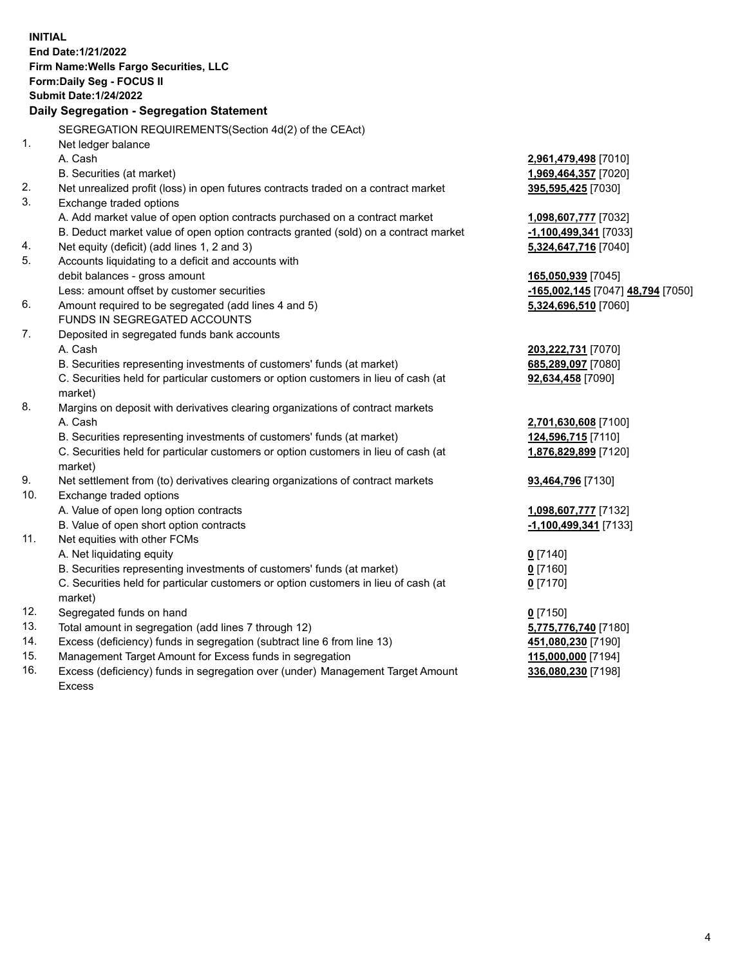**INITIAL End Date:1/21/2022 Firm Name:Wells Fargo Securities, LLC Form:Daily Seg - FOCUS II Submit Date:1/24/2022 Daily Segregation - Segregation Statement** SEGREGATION REQUIREMENTS(Section 4d(2) of the CEAct) 1. Net ledger balance A. Cash **2,961,479,498** [7010] B. Securities (at market) **1,969,464,357** [7020] 2. Net unrealized profit (loss) in open futures contracts traded on a contract market **395,595,425** [7030] 3. Exchange traded options A. Add market value of open option contracts purchased on a contract market **1,098,607,777** [7032] B. Deduct market value of open option contracts granted (sold) on a contract market **-1,100,499,341** [7033] 4. Net equity (deficit) (add lines 1, 2 and 3) **5,324,647,716** [7040] 5. Accounts liquidating to a deficit and accounts with debit balances - gross amount **165,050,939** [7045] Less: amount offset by customer securities **-165,002,145** [7047] **48,794** [7050] 6. Amount required to be segregated (add lines 4 and 5) **5,324,696,510** [7060] FUNDS IN SEGREGATED ACCOUNTS 7. Deposited in segregated funds bank accounts A. Cash **203,222,731** [7070] B. Securities representing investments of customers' funds (at market) **685,289,097** [7080] C. Securities held for particular customers or option customers in lieu of cash (at market) **92,634,458** [7090] 8. Margins on deposit with derivatives clearing organizations of contract markets A. Cash **2,701,630,608** [7100] B. Securities representing investments of customers' funds (at market) **124,596,715** [7110] C. Securities held for particular customers or option customers in lieu of cash (at market) **1,876,829,899** [7120] 9. Net settlement from (to) derivatives clearing organizations of contract markets **93,464,796** [7130] 10. Exchange traded options A. Value of open long option contracts **1,098,607,777** [7132] B. Value of open short option contracts **-1,100,499,341** [7133] 11. Net equities with other FCMs A. Net liquidating equity **0** [7140] B. Securities representing investments of customers' funds (at market) **0** [7160] C. Securities held for particular customers or option customers in lieu of cash (at market) **0** [7170] 12. Segregated funds on hand **0** [7150] 13. Total amount in segregation (add lines 7 through 12) **5,775,776,740** [7180] 14. Excess (deficiency) funds in segregation (subtract line 6 from line 13) **451,080,230** [7190] 15. Management Target Amount for Excess funds in segregation **115,000,000** [7194] 16. Excess (deficiency) funds in segregation over (under) Management Target Amount **336,080,230** [7198]

Excess